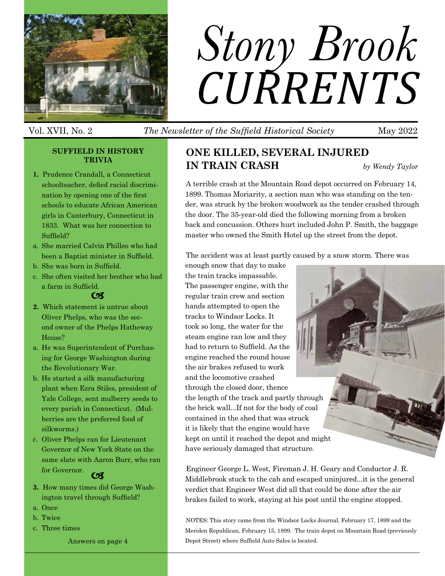

# *Stony Brook CURRENTS*

# Vol. XVII, No. 2 *The Newsletter of the Suffield Historical Society* May 2022

#### **Suffield in History TRIVIA**

- **1.** Prudence Crandall, a Connecticut schoolteacher, defied racial discrimination by opening one of the first schools to educate African American girls in Canterbury, Connecticut in 1833. What was her connection to Suffield?
- a. She married Calvin Philleo who had been a Baptist minister in Suffield.
- b. She was born in Suffield.
- c. She often visited her brother who had a farm in Suffield.

#### $CZ$

- **2.** Which statement is untrue about Oliver Phelps, who was the second owner of the Phelps Hatheway House?
- a. He was Superintendent of Purchasing for George Washington during the Revolutionary War.
- b. He started a silk manufacturing plant when Ezra Stiles, president of Yale College, sent mulberry seeds to every parish in Connecticut. (Mulberries are the preferred food of silkworms.)
- c. Oliver Phelps ran for Lieutenant Governor of New York State on the same slate with Aaron Burr, who ran for Governor. **Coll**
- **3.** How many times did George Washington travel through Suffield?
- a. Once
- b. Twice

Ī

c. Three times

Answers on page 4

# **One Killed, Several Injured**

**in TRAIN CRASH** *by Wendy Taylor* 

Pira

A terrible crash at the Mountain Road depot occurred on February 14, 1899. Thomas Moriarity, a section man who was standing on the tender, was struck by the broken woodwork as the tender crashed through the door. The 35-year-old died the following morning from a broken back and concussion. Others hurt included John P. Smith, the baggage master who owned the Smith Hotel up the street from the depot.

The accident was at least partly caused by a snow storm. There was

enough snow that day to make the train tracks impassable. The passenger engine, with the regular train crew and section hands attempted to open the tracks to Windsor Locks. It took so long, the water for the steam engine ran low and they had to return to Suffield. As the engine reached the round house the air brakes refused to work and the locomotive crashed through the closed door, thence the length of the track and partly through the brick wall...If not for the body of coal contained in the shed that was struck it is likely that the engine would have kept on until it reached the depot and might have seriously damaged that structure.

Engineer George L. West, Fireman J. H. Geary and Conductor J. R. Middlebrook stuck to the cab and escaped uninjured...it is the general verdict that Engineer West did all that could be done after the air brakes failed to work, staying at his post until the engine stopped.

NOTES: This story came from the Windsor Locks Journal, February 17, 1899 and the Meriden Republican, February 15, 1899. The train depot on Mountain Road (previously Depot Street) where Suffield Auto Sales is located.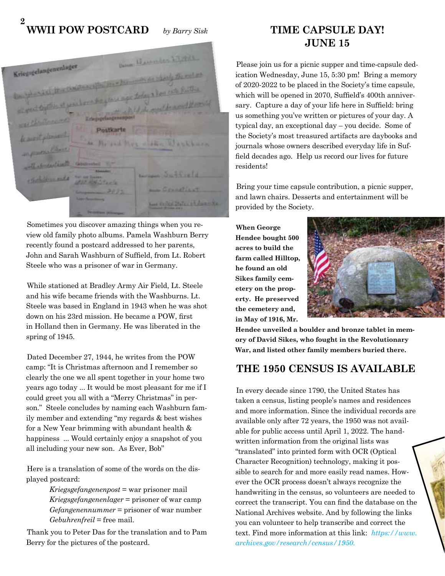### **2 WWII POW Postcard** *by Barry Sisk*

|                                                                                                                 | Determination & P. Wall                                |
|-----------------------------------------------------------------------------------------------------------------|--------------------------------------------------------|
| Kriegsgelangenenlager                                                                                           | his month do charty the rol at                         |
| Designation in the Construction and                                                                             |                                                        |
| of good to the stress have been presented up the cete further<br>Reserved and the second in a search of such as |                                                        |
| 1127 Christmasmar                                                                                               |                                                        |
| Postkarte<br>le most pleasent                                                                                   |                                                        |
| de Millers - Hen Washburn<br>in Prove                                                                           |                                                        |
| with a broad in all                                                                                             |                                                        |
| Clarke Branch and a<br><b>SALT AN STECK</b>                                                                     | monage Sublively                                       |
| 3072<br>Lager Reservations                                                                                      | <b>ANN GERRETIENT</b>                                  |
| TWO COLUMN TWO IS NOT THE OWNER.                                                                                | Land Kingled States and September<br><b>STATISTICS</b> |

Sometimes you discover amazing things when you review old family photo albums. Pamela Washburn Berry recently found a postcard addressed to her parents, John and Sarah Washburn of Suffield, from Lt. Robert Steele who was a prisoner of war in Germany.

While stationed at Bradley Army Air Field, Lt. Steele and his wife became friends with the Washburns. Lt. Steele was based in England in 1943 when he was shot down on his 23rd mission. He became a POW, first in Holland then in Germany. He was liberated in the spring of 1945.

Dated December 27, 1944, he writes from the POW camp: "It is Christmas afternoon and I remember so clearly the one we all spent together in your home two years ago today ... It would be most pleasant for me if I could greet you all with a "Merry Christmas" in person." Steele concludes by naming each Washburn family member and extending "my regards & best wishes for a New Year brimming with abundant health & happiness ... Would certainly enjoy a snapshot of you all including your new son. As Ever, Bob"

Here is a translation of some of the words on the displayed postcard:

> *Kriegsgefangenenpost* = war prisoner mail *Kriegsgefangenenlager* = prisoner of war camp *Gefangenennummer* = prisoner of war number *Gebuhrenfreil* = free mail.

Thank you to Peter Das for the translation and to Pam Berry for the pictures of the postcard.

# **Time Capsule Day! June 15**

Please join us for a picnic supper and time-capsule dedication Wednesday, June 15, 5:30 pm! Bring a memory of 2020-2022 to be placed in the Society's time capsule, which will be opened in 2070, Suffield's 400th anniversary. Capture a day of your life here in Suffield: bring us something you've written or pictures of your day. A typical day, an exceptional day – you decide. Some of the Society's most treasured artifacts are daybooks and journals whose owners described everyday life in Suffield decades ago. Help us record our lives for future residents!

Bring your time capsule contribution, a picnic supper, and lawn chairs. Desserts and entertainment will be provided by the Society.

**When George Hendee bought 500 acres to build the farm called Hilltop, he found an old Sikes family cemetery on the property. He preserved the cemetery and, in May of 1916, Mr.** 



**Hendee unveiled a boulder and bronze tablet in memory of David Sikes, who fought in the Revolutionary War, and listed other family members buried there.** 

# **The 1950 Census is Available**

In every decade since 1790, the United States has taken a census, listing people's names and residences and more information. Since the individual records are available only after 72 years, the 1950 was not available for public access until April 1, 2022. The handwritten information from the original lists was "translated" into printed form with OCR (Optical Character Recognition) technology, making it possible to search for and more easily read names. However the OCR process doesn't always recognize the handwriting in the census, so volunteers are needed to correct the transcript. You can find the database on the National Archives website. And by following the links you can volunteer to help transcribe and correct the text. Find more information at this link: *https://www. archives.gov/research/census/1950.*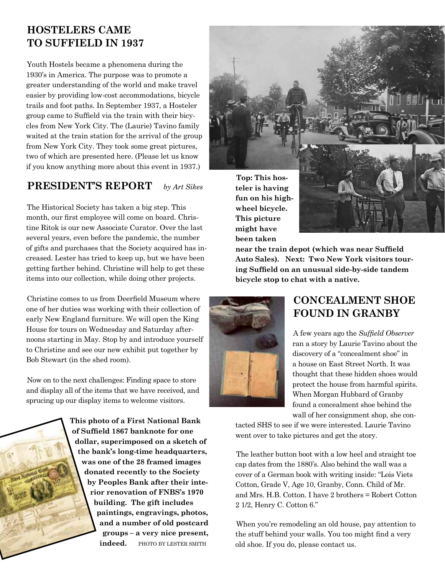# **Hostelers Came to Suffield in 1937**

Youth Hostels became a phenomena during the 1930's in America. The purpose was to promote a greater understanding of the world and make travel easier by providing low-cost accommodations, bicycle trails and foot paths. In September 1937, a Hosteler group came to Suffield via the train with their bicycles from New York City. The (Laurie) Tavino family waited at the train station for the arrival of the group from New York City. They took some great pictures, two of which are presented here. (Please let us know if you know anything more about this event in 1937.)

#### **President's Report** *by Art Sikes*

The Historical Society has taken a big step. This month, our first employee will come on board. Christine Ritok is our new Associate Curator. Over the last several years, even before the pandemic, the number of gifts and purchases that the Society acquired has increased. Lester has tried to keep up, but we have been getting farther behind. Christine will help to get these items into our collection, while doing other projects.

Christine comes to us from Deerfield Museum where one of her duties was working with their collection of early New England furniture. We will open the King House for tours on Wednesday and Saturday afternoons starting in May. Stop by and introduce yourself to Christine and see our new exhibit put together by Bob Stewart (in the shed room).

Now on to the next challenges: Finding space to store and display all of the items that we have received, and sprucing up our display items to welcome visitors.

> **This photo of a First National Bank of Suffield 1867 banknote for one dollar, superimposed on a sketch of the bank's long-time headquarters, was one of the 28 framed images donated recently to the Society by Peoples Bank after their interior renovation of FNBS's 1970 building. The gift includes paintings, engravings, photos, and a number of old postcard groups – a very nice present, indeed.** PHOTO BY LESTER SMITH



**This picture might have been taken** 

**near the train depot (which was near Suffield Auto Sales). Next: Two New York visitors touring Suffield on an unusual side-by-side tandem bicycle stop to chat with a native.** 



## **Concealment Shoe Found in Granby**

A few years ago the *Suffield Observer* ran a story by Laurie Tavino about the discovery of a "concealment shoe" in a house on East Street North. It was thought that these hidden shoes would protect the house from harmful spirits. When Morgan Hubbard of Granby found a concealment shoe behind the wall of her consignment shop, she con-

tacted SHS to see if we were interested. Laurie Tavino went over to take pictures and get the story.

The leather button boot with a low heel and straight toe cap dates from the 1880's. Also behind the wall was a cover of a German book with writing inside: "Lois Viets Cotton, Grade V, Age 10, Granby, Conn. Child of Mr. and Mrs. H.B. Cotton. I have 2 brothers = Robert Cotton 2 1/2, Henry C. Cotton 6."

When you're remodeling an old house, pay attention to the stuff behind your walls. You too might find a very old shoe. If you do, please contact us.